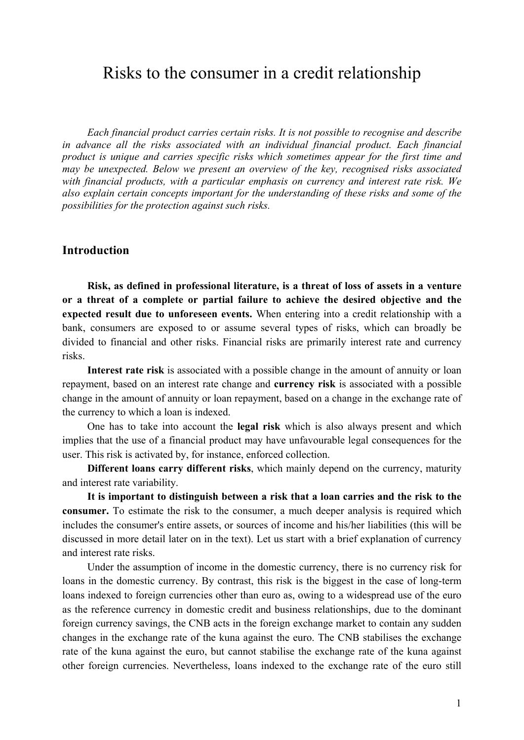# Risks to the consumer in a credit relationship

*Each financial product carries certain risks. It is not possible to recognise and describe in advance all the risks associated with an individual financial product. Each financial product is unique and carries specific risks which sometimes appear for the first time and may be unexpected. Below we present an overview of the key, recognised risks associated with financial products, with a particular emphasis on currency and interest rate risk. We also explain certain concepts important for the understanding of these risks and some of the possibilities for the protection against such risks.*

# **Introduction**

**Risk, as defined in professional literature, is a threat of loss of assets in a venture or a threat of a complete or partial failure to achieve the desired objective and the expected result due to unforeseen events.** When entering into a credit relationship with a bank, consumers are exposed to or assume several types of risks, which can broadly be divided to financial and other risks. Financial risks are primarily interest rate and currency risks.

**Interest rate risk** is associated with a possible change in the amount of annuity or loan repayment, based on an interest rate change and **currency risk** is associated with a possible change in the amount of annuity or loan repayment, based on a change in the exchange rate of the currency to which a loan is indexed.

One has to take into account the **legal risk** which is also always present and which implies that the use of a financial product may have unfavourable legal consequences for the user. This risk is activated by, for instance, enforced collection.

**Different loans carry different risks**, which mainly depend on the currency, maturity and interest rate variability.

**It is important to distinguish between a risk that a loan carries and the risk to the consumer.** To estimate the risk to the consumer, a much deeper analysis is required which includes the consumer's entire assets, or sources of income and his/her liabilities (this will be discussed in more detail later on in the text). Let us start with a brief explanation of currency and interest rate risks.

Under the assumption of income in the domestic currency, there is no currency risk for loans in the domestic currency. By contrast, this risk is the biggest in the case of long-term loans indexed to foreign currencies other than euro as, owing to a widespread use of the euro as the reference currency in domestic credit and business relationships, due to the dominant foreign currency savings, the CNB acts in the foreign exchange market to contain any sudden changes in the exchange rate of the kuna against the euro. The CNB stabilises the exchange rate of the kuna against the euro, but cannot stabilise the exchange rate of the kuna against other foreign currencies. Nevertheless, loans indexed to the exchange rate of the euro still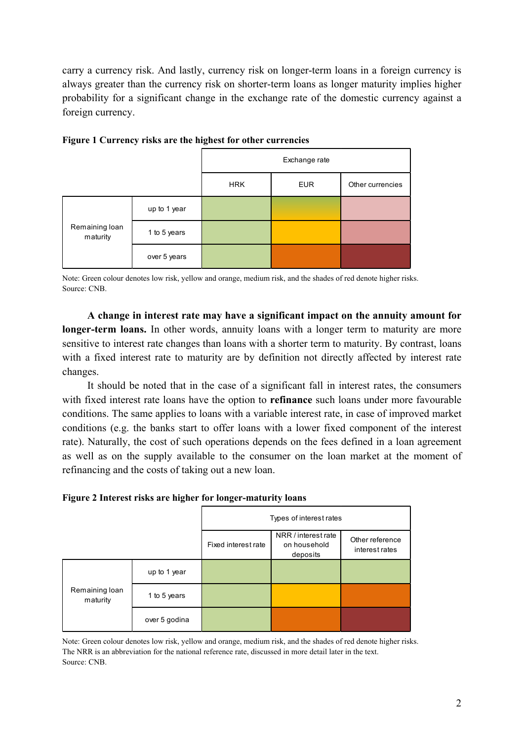carry a currency risk. And lastly, currency risk on longer-term loans in a foreign currency is always greater than the currency risk on shorter-term loans as longer maturity implies higher probability for a significant change in the exchange rate of the domestic currency against a foreign currency.

|                            |              | Exchange rate |            |                  |
|----------------------------|--------------|---------------|------------|------------------|
|                            |              | <b>HRK</b>    | <b>EUR</b> | Other currencies |
| Remaining loan<br>maturity | up to 1 year |               |            |                  |
|                            | 1 to 5 years |               |            |                  |
|                            | over 5 years |               |            |                  |

**Figure 1 Currency risks are the highest for other currencies**

Note: Green colour denotes low risk, yellow and orange, medium risk, and the shades of red denote higher risks. Source: CNB.

**A change in interest rate may have a significant impact on the annuity amount for longer-term loans.** In other words, annuity loans with a longer term to maturity are more sensitive to interest rate changes than loans with a shorter term to maturity. By contrast, loans with a fixed interest rate to maturity are by definition not directly affected by interest rate changes.

It should be noted that in the case of a significant fall in interest rates, the consumers with fixed interest rate loans have the option to **refinance** such loans under more favourable conditions. The same applies to loans with a variable interest rate, in case of improved market conditions (e.g. the banks start to offer loans with a lower fixed component of the interest rate). Naturally, the cost of such operations depends on the fees defined in a loan agreement as well as on the supply available to the consumer on the loan market at the moment of refinancing and the costs of taking out a new loan.

**Figure 2 Interest risks are higher for longer-maturity loans**

|                            |               | Types of interest rates |                                                 |                                   |  |
|----------------------------|---------------|-------------------------|-------------------------------------------------|-----------------------------------|--|
|                            |               | Fixed interest rate     | NRR / interest rate<br>on household<br>deposits | Other reference<br>interest rates |  |
| Remaining loan<br>maturity | up to 1 year  |                         |                                                 |                                   |  |
|                            | 1 to 5 years  |                         |                                                 |                                   |  |
|                            | over 5 godina |                         |                                                 |                                   |  |

Note: Green colour denotes low risk, yellow and orange, medium risk, and the shades of red denote higher risks. The NRR is an abbreviation for the national reference rate, discussed in more detail later in the text. Source: CNB.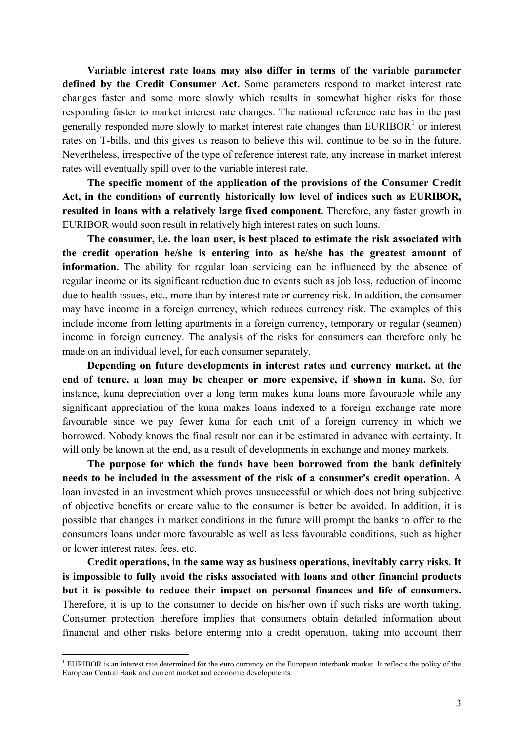**Variable interest rate loans may also differ in terms of the variable parameter defined by the Credit Consumer Act.** Some parameters respond to market interest rate changes faster and some more slowly which results in somewhat higher risks for those responding faster to market interest rate changes. The national reference rate has in the past generally responded more slowly to market interest rate changes than  $EURIBOR<sup>1</sup>$  $EURIBOR<sup>1</sup>$  $EURIBOR<sup>1</sup>$  or interest rates on T-bills, and this gives us reason to believe this will continue to be so in the future. Nevertheless, irrespective of the type of reference interest rate, any increase in market interest rates will eventually spill over to the variable interest rate.

**The specific moment of the application of the provisions of the Consumer Credit Act, in the conditions of currently historically low level of indices such as EURIBOR, resulted in loans with a relatively large fixed component.** Therefore, any faster growth in EURIBOR would soon result in relatively high interest rates on such loans.

**The consumer, i.e. the loan user, is best placed to estimate the risk associated with the credit operation he/she is entering into as he/she has the greatest amount of information.** The ability for regular loan servicing can be influenced by the absence of regular income or its significant reduction due to events such as job loss, reduction of income due to health issues, etc., more than by interest rate or currency risk. In addition, the consumer may have income in a foreign currency, which reduces currency risk. The examples of this include income from letting apartments in a foreign currency, temporary or regular (seamen) income in foreign currency. The analysis of the risks for consumers can therefore only be made on an individual level, for each consumer separately.

**Depending on future developments in interest rates and currency market, at the end of tenure, a loan may be cheaper or more expensive, if shown in kuna.** So, for instance, kuna depreciation over a long term makes kuna loans more favourable while any significant appreciation of the kuna makes loans indexed to a foreign exchange rate more favourable since we pay fewer kuna for each unit of a foreign currency in which we borrowed. Nobody knows the final result nor can it be estimated in advance with certainty. It will only be known at the end, as a result of developments in exchange and money markets.

**The purpose for which the funds have been borrowed from the bank definitely needs to be included in the assessment of the risk of a consumer's credit operation.** A loan invested in an investment which proves unsuccessful or which does not bring subjective of objective benefits or create value to the consumer is better be avoided. In addition, it is possible that changes in market conditions in the future will prompt the banks to offer to the consumers loans under more favourable as well as less favourable conditions, such as higher or lower interest rates, fees, etc.

**Credit operations, in the same way as business operations, inevitably carry risks. It is impossible to fully avoid the risks associated with loans and other financial products but it is possible to reduce their impact on personal finances and life of consumers.** Therefore, it is up to the consumer to decide on his/her own if such risks are worth taking. Consumer protection therefore implies that consumers obtain detailed information about financial and other risks before entering into a credit operation, taking into account their

<span id="page-2-0"></span> $<sup>1</sup>$  EURIBOR is an interest rate determined for the euro currency on the European interbank market. It reflects the policy of the</sup> European Central Bank and current market and economic developments.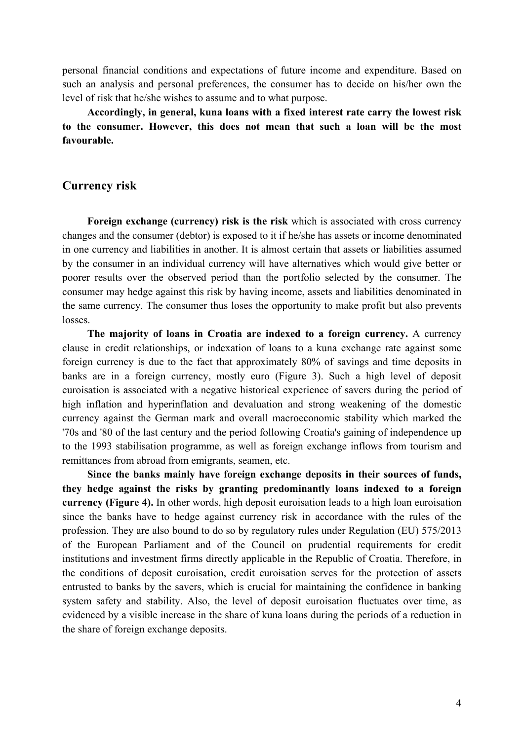personal financial conditions and expectations of future income and expenditure. Based on such an analysis and personal preferences, the consumer has to decide on his/her own the level of risk that he/she wishes to assume and to what purpose.

**Accordingly, in general, kuna loans with a fixed interest rate carry the lowest risk to the consumer. However, this does not mean that such a loan will be the most favourable.**

## **Currency risk**

**Foreign exchange (currency) risk is the risk** which is associated with cross currency changes and the consumer (debtor) is exposed to it if he/she has assets or income denominated in one currency and liabilities in another. It is almost certain that assets or liabilities assumed by the consumer in an individual currency will have alternatives which would give better or poorer results over the observed period than the portfolio selected by the consumer. The consumer may hedge against this risk by having income, assets and liabilities denominated in the same currency. The consumer thus loses the opportunity to make profit but also prevents losses.

**The majority of loans in Croatia are indexed to a foreign currency.** A currency clause in credit relationships, or indexation of loans to a kuna exchange rate against some foreign currency is due to the fact that approximately 80% of savings and time deposits in banks are in a foreign currency, mostly euro (Figure 3). Such a high level of deposit euroisation is associated with a negative historical experience of savers during the period of high inflation and hyperinflation and devaluation and strong weakening of the domestic currency against the German mark and overall macroeconomic stability which marked the '70s and '80 of the last century and the period following Croatia's gaining of independence up to the 1993 stabilisation programme, as well as foreign exchange inflows from tourism and remittances from abroad from emigrants, seamen, etc.

**Since the banks mainly have foreign exchange deposits in their sources of funds, they hedge against the risks by granting predominantly loans indexed to a foreign currency (Figure 4).** In other words, high deposit euroisation leads to a high loan euroisation since the banks have to hedge against currency risk in accordance with the rules of the profession. They are also bound to do so by regulatory rules under Regulation (EU) 575/2013 of the European Parliament and of the Council on prudential requirements for credit institutions and investment firms directly applicable in the Republic of Croatia. Therefore, in the conditions of deposit euroisation, credit euroisation serves for the protection of assets entrusted to banks by the savers, which is crucial for maintaining the confidence in banking system safety and stability. Also, the level of deposit euroisation fluctuates over time, as evidenced by a visible increase in the share of kuna loans during the periods of a reduction in the share of foreign exchange deposits.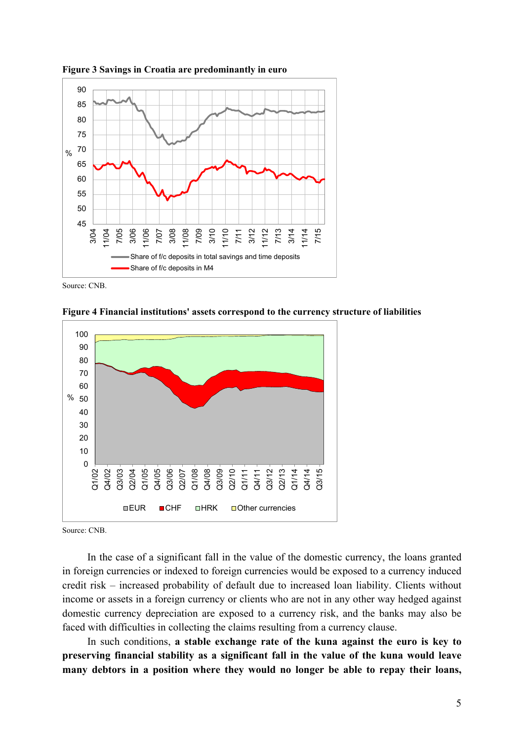

**Figure 3 Savings in Croatia are predominantly in euro**

Source: CNB.

**Figure 4 Financial institutions' assets correspond to the currency structure of liabilities**



Source: CNB.

In the case of a significant fall in the value of the domestic currency, the loans granted in foreign currencies or indexed to foreign currencies would be exposed to a currency induced credit risk – increased probability of default due to increased loan liability. Clients without income or assets in a foreign currency or clients who are not in any other way hedged against domestic currency depreciation are exposed to a currency risk, and the banks may also be faced with difficulties in collecting the claims resulting from a currency clause.

In such conditions, **a stable exchange rate of the kuna against the euro is key to preserving financial stability as a significant fall in the value of the kuna would leave many debtors in a position where they would no longer be able to repay their loans,**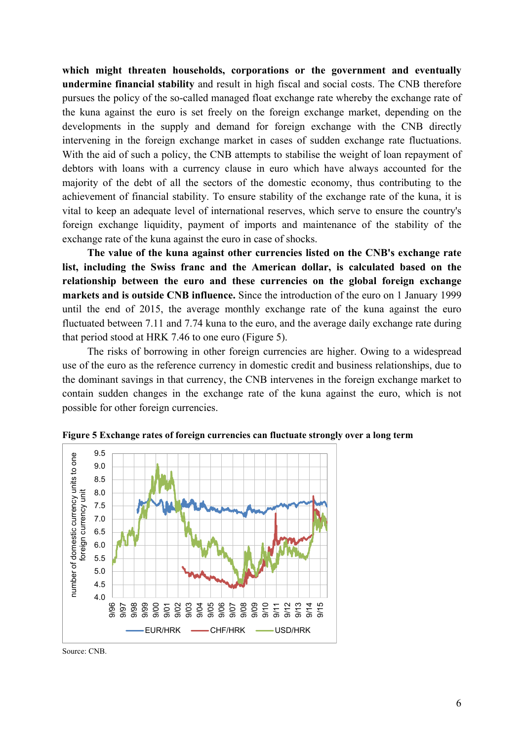**which might threaten households, corporations or the government and eventually undermine financial stability** and result in high fiscal and social costs. The CNB therefore pursues the policy of the so-called managed float exchange rate whereby the exchange rate of the kuna against the euro is set freely on the foreign exchange market, depending on the developments in the supply and demand for foreign exchange with the CNB directly intervening in the foreign exchange market in cases of sudden exchange rate fluctuations. With the aid of such a policy, the CNB attempts to stabilise the weight of loan repayment of debtors with loans with a currency clause in euro which have always accounted for the majority of the debt of all the sectors of the domestic economy, thus contributing to the achievement of financial stability. To ensure stability of the exchange rate of the kuna, it is vital to keep an adequate level of international reserves, which serve to ensure the country's foreign exchange liquidity, payment of imports and maintenance of the stability of the exchange rate of the kuna against the euro in case of shocks.

**The value of the kuna against other currencies listed on the CNB's exchange rate list, including the Swiss franc and the American dollar, is calculated based on the relationship between the euro and these currencies on the global foreign exchange markets and is outside CNB influence.** Since the introduction of the euro on 1 January 1999 until the end of 2015, the average monthly exchange rate of the kuna against the euro fluctuated between 7.11 and 7.74 kuna to the euro, and the average daily exchange rate during that period stood at HRK 7.46 to one euro (Figure 5).

The risks of borrowing in other foreign currencies are higher. Owing to a widespread use of the euro as the reference currency in domestic credit and business relationships, due to the dominant savings in that currency, the CNB intervenes in the foreign exchange market to contain sudden changes in the exchange rate of the kuna against the euro, which is not possible for other foreign currencies.



**Figure 5 Exchange rates of foreign currencies can fluctuate strongly over a long term**

Source: CNB.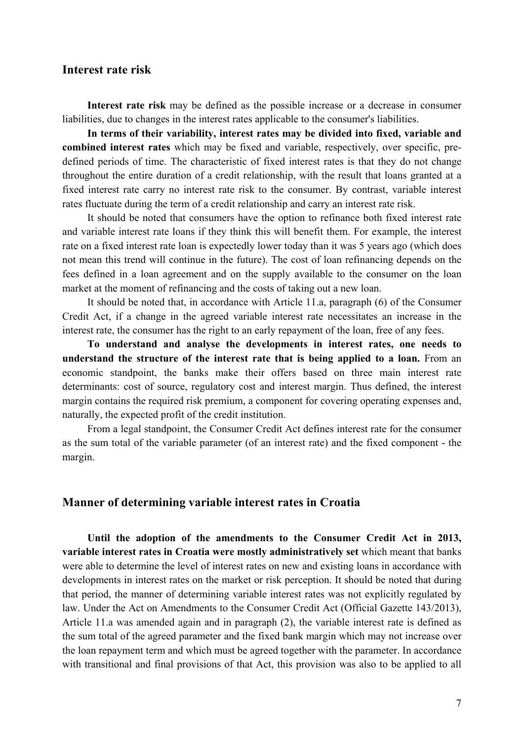# **Interest rate risk**

**Interest rate risk** may be defined as the possible increase or a decrease in consumer liabilities, due to changes in the interest rates applicable to the consumer's liabilities.

**In terms of their variability, interest rates may be divided into fixed, variable and combined interest rates** which may be fixed and variable, respectively, over specific, predefined periods of time. The characteristic of fixed interest rates is that they do not change throughout the entire duration of a credit relationship, with the result that loans granted at a fixed interest rate carry no interest rate risk to the consumer. By contrast, variable interest rates fluctuate during the term of a credit relationship and carry an interest rate risk.

It should be noted that consumers have the option to refinance both fixed interest rate and variable interest rate loans if they think this will benefit them. For example, the interest rate on a fixed interest rate loan is expectedly lower today than it was 5 years ago (which does not mean this trend will continue in the future). The cost of loan refinancing depends on the fees defined in a loan agreement and on the supply available to the consumer on the loan market at the moment of refinancing and the costs of taking out a new loan.

It should be noted that, in accordance with Article 11.a, paragraph (6) of the Consumer Credit Act, if a change in the agreed variable interest rate necessitates an increase in the interest rate, the consumer has the right to an early repayment of the loan, free of any fees.

**To understand and analyse the developments in interest rates, one needs to understand the structure of the interest rate that is being applied to a loan.** From an economic standpoint, the banks make their offers based on three main interest rate determinants: cost of source, regulatory cost and interest margin. Thus defined, the interest margin contains the required risk premium, a component for covering operating expenses and, naturally, the expected profit of the credit institution.

From a legal standpoint, the Consumer Credit Act defines interest rate for the consumer as the sum total of the variable parameter (of an interest rate) and the fixed component - the margin.

### **Manner of determining variable interest rates in Croatia**

**Until the adoption of the amendments to the Consumer Credit Act in 2013, variable interest rates in Croatia were mostly administratively set** which meant that banks were able to determine the level of interest rates on new and existing loans in accordance with developments in interest rates on the market or risk perception. It should be noted that during that period, the manner of determining variable interest rates was not explicitly regulated by law. Under the Act on Amendments to the Consumer Credit Act (Official Gazette 143/2013), Article 11.a was amended again and in paragraph (2), the variable interest rate is defined as the sum total of the agreed parameter and the fixed bank margin which may not increase over the loan repayment term and which must be agreed together with the parameter. In accordance with transitional and final provisions of that Act, this provision was also to be applied to all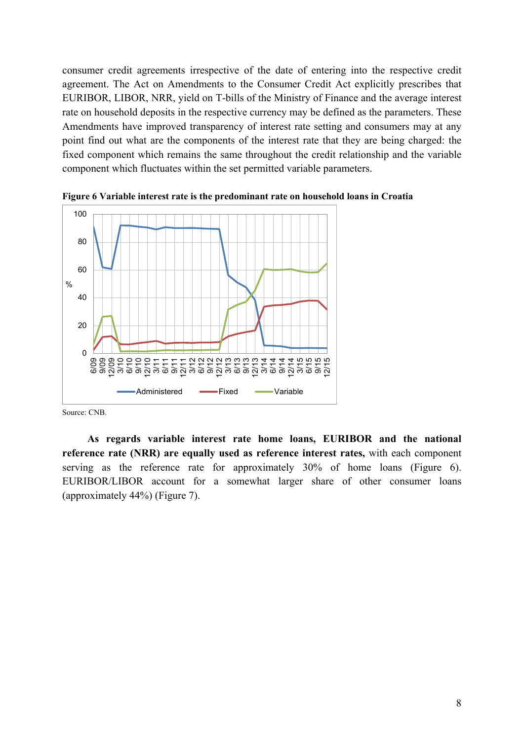consumer credit agreements irrespective of the date of entering into the respective credit agreement. The Act on Amendments to the Consumer Credit Act explicitly prescribes that EURIBOR, LIBOR, NRR, yield on T-bills of the Ministry of Finance and the average interest rate on household deposits in the respective currency may be defined as the parameters. These Amendments have improved transparency of interest rate setting and consumers may at any point find out what are the components of the interest rate that they are being charged: the fixed component which remains the same throughout the credit relationship and the variable component which fluctuates within the set permitted variable parameters.



**Figure 6 Variable interest rate is the predominant rate on household loans in Croatia**

Source: CNB.

**As regards variable interest rate home loans, EURIBOR and the national reference rate (NRR) are equally used as reference interest rates,** with each component serving as the reference rate for approximately 30% of home loans (Figure 6). EURIBOR/LIBOR account for a somewhat larger share of other consumer loans (approximately 44%) (Figure 7).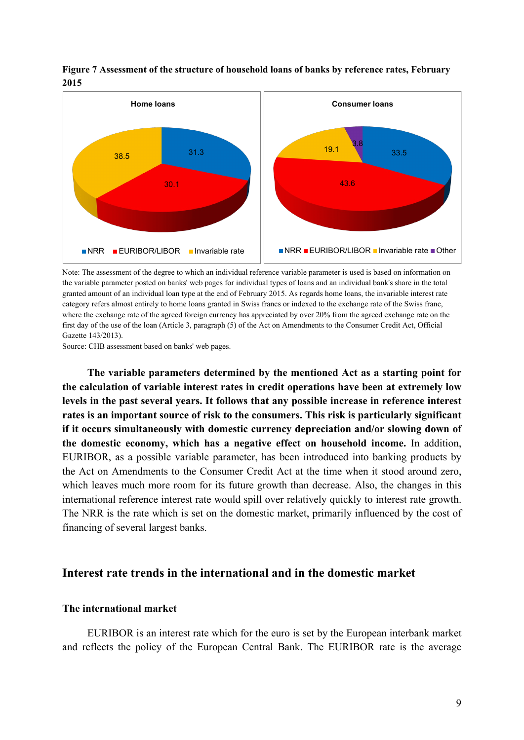

**Figure 7 Assessment of the structure of household loans of banks by reference rates, February 2015**

Note: The assessment of the degree to which an individual reference variable parameter is used is based on information on the variable parameter posted on banks' web pages for individual types of loans and an individual bank's share in the total granted amount of an individual loan type at the end of February 2015. As regards home loans, the invariable interest rate category refers almost entirely to home loans granted in Swiss francs or indexed to the exchange rate of the Swiss franc, where the exchange rate of the agreed foreign currency has appreciated by over 20% from the agreed exchange rate on the first day of the use of the loan (Article 3, paragraph (5) of the Act on Amendments to the Consumer Credit Act, Official Gazette 143/2013).

Source: CHB assessment based on banks' web pages.

**The variable parameters determined by the mentioned Act as a starting point for the calculation of variable interest rates in credit operations have been at extremely low levels in the past several years. It follows that any possible increase in reference interest rates is an important source of risk to the consumers. This risk is particularly significant if it occurs simultaneously with domestic currency depreciation and/or slowing down of the domestic economy, which has a negative effect on household income.** In addition, EURIBOR, as a possible variable parameter, has been introduced into banking products by the Act on Amendments to the Consumer Credit Act at the time when it stood around zero, which leaves much more room for its future growth than decrease. Also, the changes in this international reference interest rate would spill over relatively quickly to interest rate growth. The NRR is the rate which is set on the domestic market, primarily influenced by the cost of financing of several largest banks.

## **Interest rate trends in the international and in the domestic market**

#### **The international market**

EURIBOR is an interest rate which for the euro is set by the European interbank market and reflects the policy of the European Central Bank. The EURIBOR rate is the average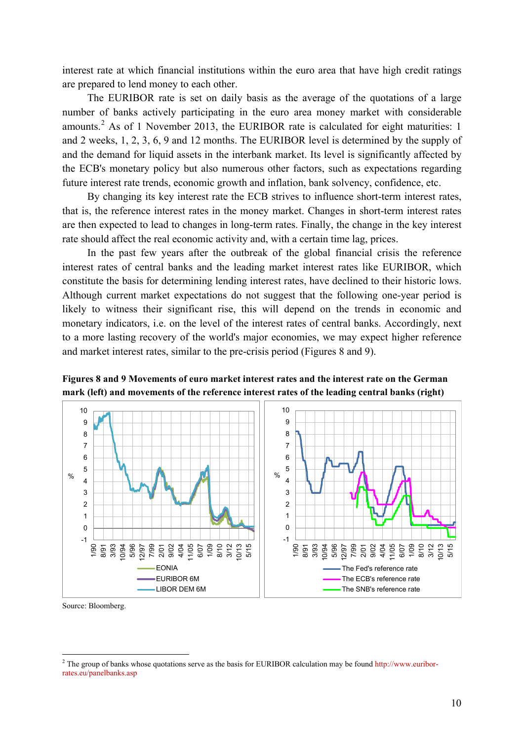interest rate at which financial institutions within the euro area that have high credit ratings are prepared to lend money to each other.

The EURIBOR rate is set on daily basis as the average of the quotations of a large number of banks actively participating in the euro area money market with considerable amounts.[2](#page-9-0) As of 1 November 2013, the EURIBOR rate is calculated for eight maturities: 1 and 2 weeks, 1, 2, 3, 6, 9 and 12 months. The EURIBOR level is determined by the supply of and the demand for liquid assets in the interbank market. Its level is significantly affected by the ECB's monetary policy but also numerous other factors, such as expectations regarding future interest rate trends, economic growth and inflation, bank solvency, confidence, etc.

By changing its key interest rate the ECB strives to influence short-term interest rates, that is, the reference interest rates in the money market. Changes in short-term interest rates are then expected to lead to changes in long-term rates. Finally, the change in the key interest rate should affect the real economic activity and, with a certain time lag, prices.

In the past few years after the outbreak of the global financial crisis the reference interest rates of central banks and the leading market interest rates like EURIBOR, which constitute the basis for determining lending interest rates, have declined to their historic lows. Although current market expectations do not suggest that the following one-year period is likely to witness their significant rise, this will depend on the trends in economic and monetary indicators, i.e. on the level of the interest rates of central banks. Accordingly, next to a more lasting recovery of the world's major economies, we may expect higher reference and market interest rates, similar to the pre-crisis period (Figures 8 and 9).

**Figures 8 and 9 Movements of euro market interest rates and the interest rate on the German mark (left) and movements of the reference interest rates of the leading central banks (right)**



Source: Bloomberg.

<span id="page-9-0"></span><sup>&</sup>lt;sup>2</sup> The group of banks whose quotations serve as the basis for EURIBOR calculation may be found [http://www.euribor](http://www.euribor-rates.eu/panelbanks.asp)[rates.eu/panelbanks.asp](http://www.euribor-rates.eu/panelbanks.asp)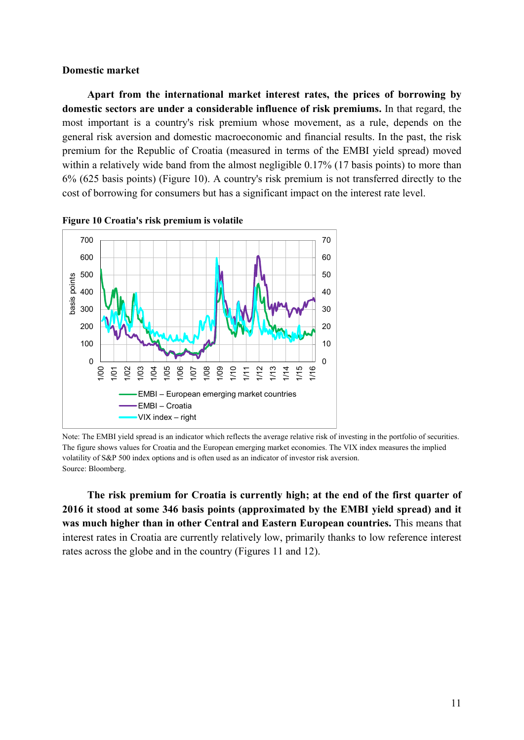#### **Domestic market**

**Apart from the international market interest rates, the prices of borrowing by domestic sectors are under a considerable influence of risk premiums.** In that regard, the most important is a country's risk premium whose movement, as a rule, depends on the general risk aversion and domestic macroeconomic and financial results. In the past, the risk premium for the Republic of Croatia (measured in terms of the EMBI yield spread) moved within a relatively wide band from the almost negligible 0.17% (17 basis points) to more than 6% (625 basis points) (Figure 10). A country's risk premium is not transferred directly to the cost of borrowing for consumers but has a significant impact on the interest rate level.



**Figure 10 Croatia's risk premium is volatile**

Note: The EMBI yield spread is an indicator which reflects the average relative risk of investing in the portfolio of securities. The figure shows values for Croatia and the European emerging market economies. The VIX index measures the implied volatility of S&P 500 index options and is often used as an indicator of investor risk aversion. Source: Bloomberg.

**The risk premium for Croatia is currently high; at the end of the first quarter of 2016 it stood at some 346 basis points (approximated by the EMBI yield spread) and it was much higher than in other Central and Eastern European countries.** This means that interest rates in Croatia are currently relatively low, primarily thanks to low reference interest rates across the globe and in the country (Figures 11 and 12).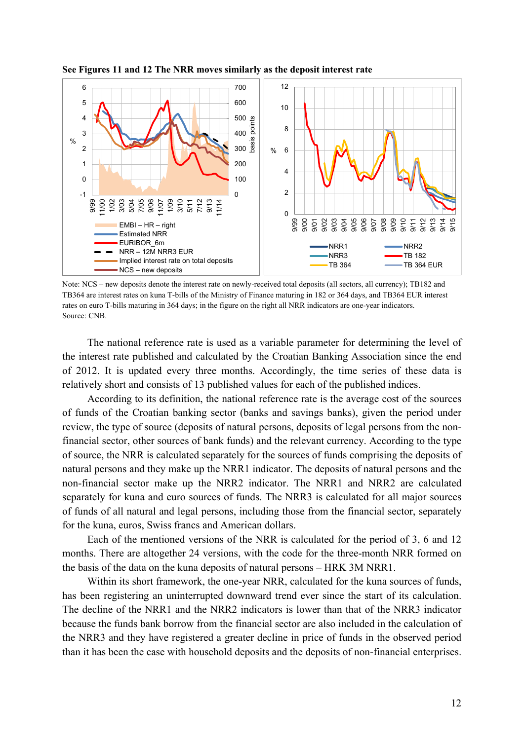

**See Figures 11 and 12 The NRR moves similarly as the deposit interest rate**

Note: NCS – new deposits denote the interest rate on newly-received total deposits (all sectors, all currency); TB182 and TB364 are interest rates on kuna T-bills of the Ministry of Finance maturing in 182 or 364 days, and TB364 EUR interest rates on euro T-bills maturing in 364 days; in the figure on the right all NRR indicators are one-year indicators. Source: CNB.

The national reference rate is used as a variable parameter for determining the level of the interest rate published and calculated by the Croatian Banking Association since the end of 2012. It is updated every three months. Accordingly, the time series of these data is relatively short and consists of 13 published values for each of the published indices.

According to its definition, the national reference rate is the average cost of the sources of funds of the Croatian banking sector (banks and savings banks), given the period under review, the type of source (deposits of natural persons, deposits of legal persons from the nonfinancial sector, other sources of bank funds) and the relevant currency. According to the type of source, the NRR is calculated separately for the sources of funds comprising the deposits of natural persons and they make up the NRR1 indicator. The deposits of natural persons and the non-financial sector make up the NRR2 indicator. The NRR1 and NRR2 are calculated separately for kuna and euro sources of funds. The NRR3 is calculated for all major sources of funds of all natural and legal persons, including those from the financial sector, separately for the kuna, euros, Swiss francs and American dollars.

Each of the mentioned versions of the NRR is calculated for the period of 3, 6 and 12 months. There are altogether 24 versions, with the code for the three-month NRR formed on the basis of the data on the kuna deposits of natural persons – HRK 3M NRR1.

Within its short framework, the one-year NRR, calculated for the kuna sources of funds, has been registering an uninterrupted downward trend ever since the start of its calculation. The decline of the NRR1 and the NRR2 indicators is lower than that of the NRR3 indicator because the funds bank borrow from the financial sector are also included in the calculation of the NRR3 and they have registered a greater decline in price of funds in the observed period than it has been the case with household deposits and the deposits of non-financial enterprises.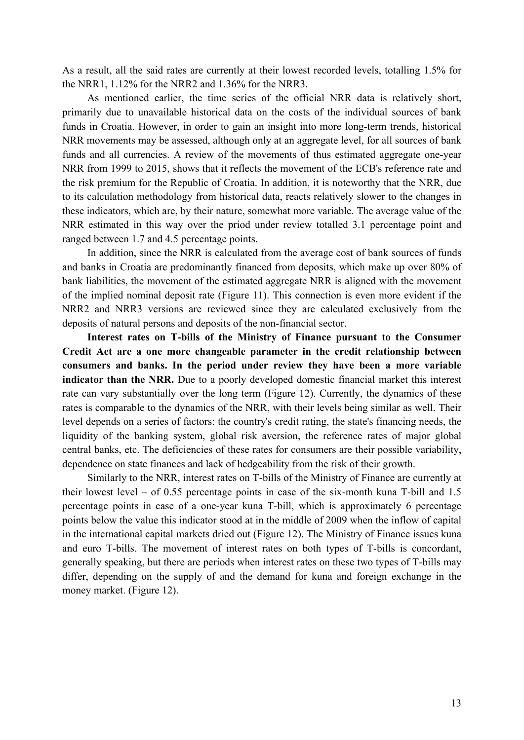As a result, all the said rates are currently at their lowest recorded levels, totalling 1.5% for the NRR1, 1.12% for the NRR2 and 1.36% for the NRR3.

As mentioned earlier, the time series of the official NRR data is relatively short, primarily due to unavailable historical data on the costs of the individual sources of bank funds in Croatia. However, in order to gain an insight into more long-term trends, historical NRR movements may be assessed, although only at an aggregate level, for all sources of bank funds and all currencies. A review of the movements of thus estimated aggregate one-year NRR from 1999 to 2015, shows that it reflects the movement of the ECB's reference rate and the risk premium for the Republic of Croatia. In addition, it is noteworthy that the NRR, due to its calculation methodology from historical data, reacts relatively slower to the changes in these indicators, which are, by their nature, somewhat more variable. The average value of the NRR estimated in this way over the priod under review totalled 3.1 percentage point and ranged between 1.7 and 4.5 percentage points.

In addition, since the NRR is calculated from the average cost of bank sources of funds and banks in Croatia are predominantly financed from deposits, which make up over 80% of bank liabilities, the movement of the estimated aggregate NRR is aligned with the movement of the implied nominal deposit rate (Figure 11). This connection is even more evident if the NRR2 and NRR3 versions are reviewed since they are calculated exclusively from the deposits of natural persons and deposits of the non-financial sector.

**Interest rates on T-bills of the Ministry of Finance pursuant to the Consumer Credit Act are a one more changeable parameter in the credit relationship between consumers and banks. In the period under review they have been a more variable indicator than the NRR.** Due to a poorly developed domestic financial market this interest rate can vary substantially over the long term (Figure 12). Currently, the dynamics of these rates is comparable to the dynamics of the NRR, with their levels being similar as well. Their level depends on a series of factors: the country's credit rating, the state's financing needs, the liquidity of the banking system, global risk aversion, the reference rates of major global central banks, etc. The deficiencies of these rates for consumers are their possible variability, dependence on state finances and lack of hedgeability from the risk of their growth.

Similarly to the NRR, interest rates on T-bills of the Ministry of Finance are currently at their lowest level – of 0.55 percentage points in case of the six-month kuna T-bill and 1.5 percentage points in case of a one-year kuna T-bill, which is approximately 6 percentage points below the value this indicator stood at in the middle of 2009 when the inflow of capital in the international capital markets dried out (Figure 12). The Ministry of Finance issues kuna and euro T-bills. The movement of interest rates on both types of T-bills is concordant, generally speaking, but there are periods when interest rates on these two types of T-bills may differ, depending on the supply of and the demand for kuna and foreign exchange in the money market. (Figure 12).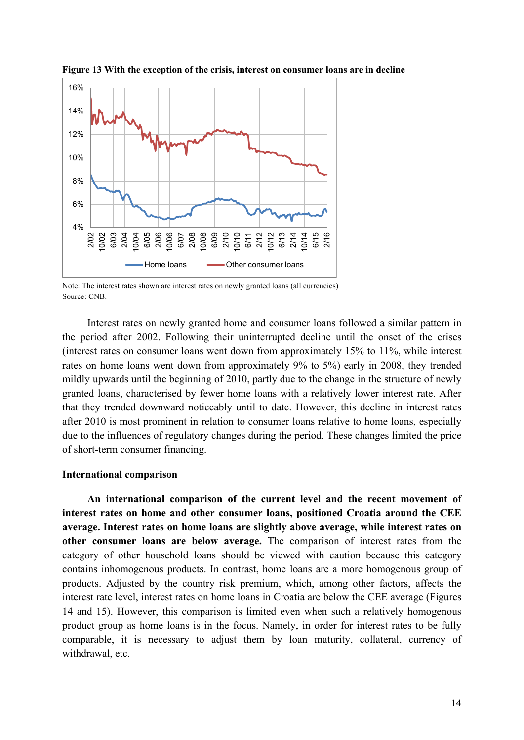

**Figure 13 With the exception of the crisis, interest on consumer loans are in decline**

Note: The interest rates shown are interest rates on newly granted loans (all currencies) Source: CNB.

Interest rates on newly granted home and consumer loans followed a similar pattern in the period after 2002. Following their uninterrupted decline until the onset of the crises (interest rates on consumer loans went down from approximately 15% to 11%, while interest rates on home loans went down from approximately 9% to 5%) early in 2008, they trended mildly upwards until the beginning of 2010, partly due to the change in the structure of newly granted loans, characterised by fewer home loans with a relatively lower interest rate. After that they trended downward noticeably until to date. However, this decline in interest rates after 2010 is most prominent in relation to consumer loans relative to home loans, especially due to the influences of regulatory changes during the period. These changes limited the price of short-term consumer financing.

#### **International comparison**

**An international comparison of the current level and the recent movement of interest rates on home and other consumer loans, positioned Croatia around the CEE average. Interest rates on home loans are slightly above average, while interest rates on other consumer loans are below average.** The comparison of interest rates from the category of other household loans should be viewed with caution because this category contains inhomogenous products. In contrast, home loans are a more homogenous group of products. Adjusted by the country risk premium, which, among other factors, affects the interest rate level, interest rates on home loans in Croatia are below the CEE average (Figures 14 and 15). However, this comparison is limited even when such a relatively homogenous product group as home loans is in the focus. Namely, in order for interest rates to be fully comparable, it is necessary to adjust them by loan maturity, collateral, currency of withdrawal, etc.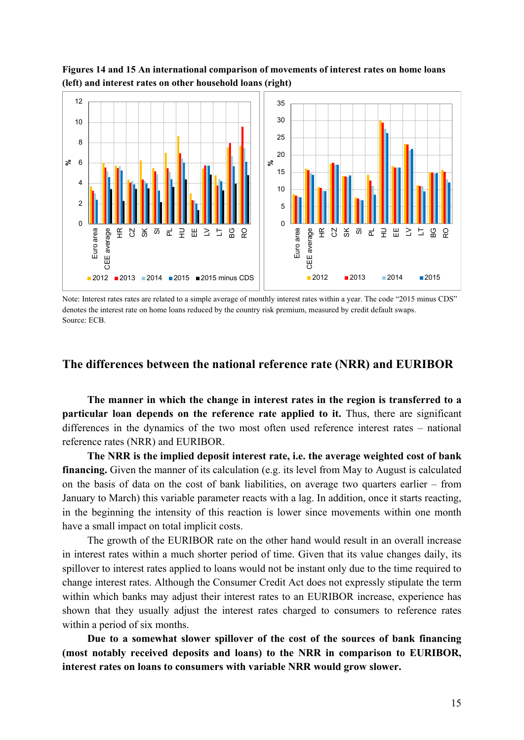

**Figures 14 and 15 An international comparison of movements of interest rates on home loans (left) and interest rates on other household loans (right)**

Note: Interest rates rates are related to a simple average of monthly interest rates within a year. The code "2015 minus CDS" denotes the interest rate on home loans reduced by the country risk premium, measured by credit default swaps. Source: ECB.

# **The differences between the national reference rate (NRR) and EURIBOR**

**The manner in which the change in interest rates in the region is transferred to a particular loan depends on the reference rate applied to it.** Thus, there are significant differences in the dynamics of the two most often used reference interest rates – national reference rates (NRR) and EURIBOR.

**The NRR is the implied deposit interest rate, i.e. the average weighted cost of bank financing.** Given the manner of its calculation (e.g. its level from May to August is calculated on the basis of data on the cost of bank liabilities, on average two quarters earlier – from January to March) this variable parameter reacts with a lag. In addition, once it starts reacting, in the beginning the intensity of this reaction is lower since movements within one month have a small impact on total implicit costs.

The growth of the EURIBOR rate on the other hand would result in an overall increase in interest rates within a much shorter period of time. Given that its value changes daily, its spillover to interest rates applied to loans would not be instant only due to the time required to change interest rates. Although the Consumer Credit Act does not expressly stipulate the term within which banks may adjust their interest rates to an EURIBOR increase, experience has shown that they usually adjust the interest rates charged to consumers to reference rates within a period of six months.

**Due to a somewhat slower spillover of the cost of the sources of bank financing (most notably received deposits and loans) to the NRR in comparison to EURIBOR, interest rates on loans to consumers with variable NRR would grow slower.**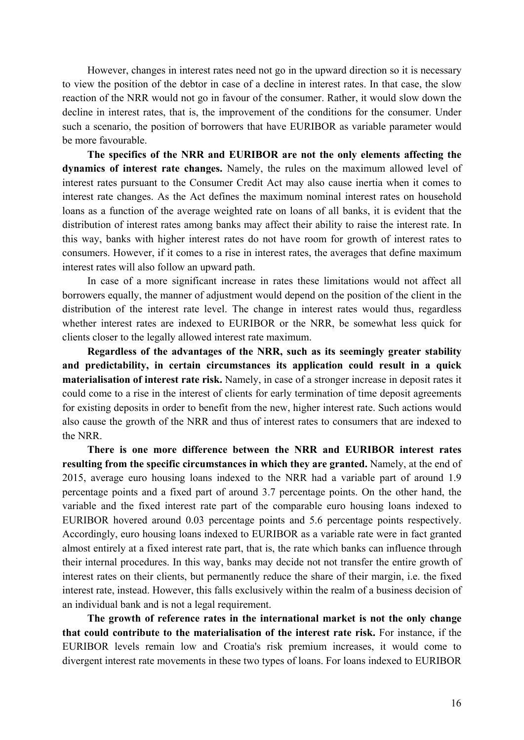However, changes in interest rates need not go in the upward direction so it is necessary to view the position of the debtor in case of a decline in interest rates. In that case, the slow reaction of the NRR would not go in favour of the consumer. Rather, it would slow down the decline in interest rates, that is, the improvement of the conditions for the consumer. Under such a scenario, the position of borrowers that have EURIBOR as variable parameter would be more favourable.

**The specifics of the NRR and EURIBOR are not the only elements affecting the dynamics of interest rate changes.** Namely, the rules on the maximum allowed level of interest rates pursuant to the Consumer Credit Act may also cause inertia when it comes to interest rate changes. As the Act defines the maximum nominal interest rates on household loans as a function of the average weighted rate on loans of all banks, it is evident that the distribution of interest rates among banks may affect their ability to raise the interest rate. In this way, banks with higher interest rates do not have room for growth of interest rates to consumers. However, if it comes to a rise in interest rates, the averages that define maximum interest rates will also follow an upward path.

In case of a more significant increase in rates these limitations would not affect all borrowers equally, the manner of adjustment would depend on the position of the client in the distribution of the interest rate level. The change in interest rates would thus, regardless whether interest rates are indexed to EURIBOR or the NRR, be somewhat less quick for clients closer to the legally allowed interest rate maximum.

**Regardless of the advantages of the NRR, such as its seemingly greater stability and predictability, in certain circumstances its application could result in a quick materialisation of interest rate risk.** Namely, in case of a stronger increase in deposit rates it could come to a rise in the interest of clients for early termination of time deposit agreements for existing deposits in order to benefit from the new, higher interest rate. Such actions would also cause the growth of the NRR and thus of interest rates to consumers that are indexed to the NRR.

**There is one more difference between the NRR and EURIBOR interest rates resulting from the specific circumstances in which they are granted.** Namely, at the end of 2015, average euro housing loans indexed to the NRR had a variable part of around 1.9 percentage points and a fixed part of around 3.7 percentage points. On the other hand, the variable and the fixed interest rate part of the comparable euro housing loans indexed to EURIBOR hovered around 0.03 percentage points and 5.6 percentage points respectively. Accordingly, euro housing loans indexed to EURIBOR as a variable rate were in fact granted almost entirely at a fixed interest rate part, that is, the rate which banks can influence through their internal procedures. In this way, banks may decide not not transfer the entire growth of interest rates on their clients, but permanently reduce the share of their margin, i.e. the fixed interest rate, instead. However, this falls exclusively within the realm of a business decision of an individual bank and is not a legal requirement.

**The growth of reference rates in the international market is not the only change that could contribute to the materialisation of the interest rate risk.** For instance, if the EURIBOR levels remain low and Croatia's risk premium increases, it would come to divergent interest rate movements in these two types of loans. For loans indexed to EURIBOR